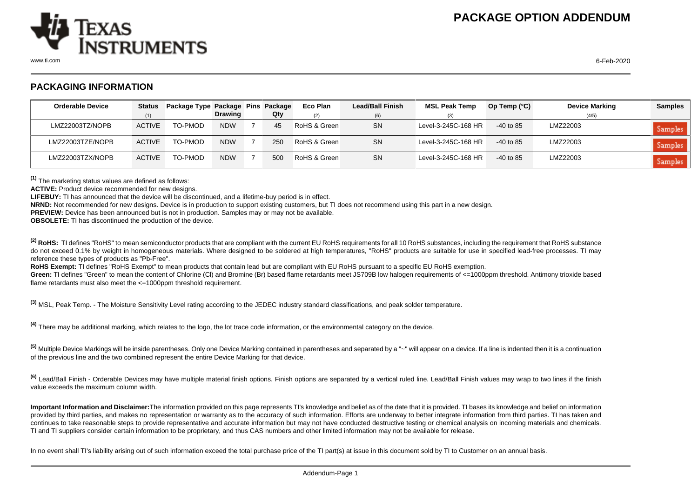

## **PACKAGING INFORMATION**

| <b>Orderable Device</b> | <b>Status</b> | Package Type Package Pins Package |                |     | Eco Plan     | <b>Lead/Ball Finish</b> | <b>MSL Peak Temp</b> | Op Temp $(^{\circ}C)$ | <b>Device Marking</b> | <b>Samples</b> |
|-------------------------|---------------|-----------------------------------|----------------|-----|--------------|-------------------------|----------------------|-----------------------|-----------------------|----------------|
|                         | (1)           |                                   | <b>Drawing</b> | Qty | (2)          | (6)                     | (3)                  |                       | (4/5)                 |                |
| LMZ22003TZ/NOPB         | <b>ACTIVE</b> | TO-PMOD                           | <b>NDW</b>     | 45  | RoHS & Green | <b>SN</b>               | Level-3-245C-168 HR  | $-40$ to 85           | LMZ22003              | Samples        |
| LMZ22003TZE/NOPB        | <b>ACTIVE</b> | TO-PMOD                           | <b>NDW</b>     | 250 | RoHS & Green | <b>SN</b>               | Level-3-245C-168 HR  | $-40$ to 85           | LMZ22003              | Samples        |
| LMZ22003TZX/NOPB        | <b>ACTIVE</b> | TO-PMOD                           | <b>NDW</b>     | 500 | RoHS & Green | SN                      | Level-3-245C-168 HR  | $-40$ to 85           | LMZ22003              | Samples        |

**(1)** The marketing status values are defined as follows:

**ACTIVE:** Product device recommended for new designs.

**LIFEBUY:** TI has announced that the device will be discontinued, and a lifetime-buy period is in effect.

**NRND:** Not recommended for new designs. Device is in production to support existing customers, but TI does not recommend using this part in a new design.

**PREVIEW:** Device has been announced but is not in production. Samples may or may not be available.

**OBSOLETE:** TI has discontinued the production of the device.

<sup>(2)</sup> RoHS: TI defines "RoHS" to mean semiconductor products that are compliant with the current EU RoHS requirements for all 10 RoHS substances, including the requirement that RoHS substance do not exceed 0.1% by weight in homogeneous materials. Where designed to be soldered at high temperatures. "RoHS" products are suitable for use in specified lead-free processes. TI may reference these types of products as "Pb-Free".

**RoHS Exempt:** TI defines "RoHS Exempt" to mean products that contain lead but are compliant with EU RoHS pursuant to a specific EU RoHS exemption.

Green: TI defines "Green" to mean the content of Chlorine (CI) and Bromine (Br) based flame retardants meet JS709B low halogen requirements of <=1000ppm threshold. Antimony trioxide based flame retardants must also meet the  $\leq 1000$ ppm threshold requirement.

**(3)** MSL, Peak Temp. - The Moisture Sensitivity Level rating according to the JEDEC industry standard classifications, and peak solder temperature.

**(4)** There may be additional marking, which relates to the logo, the lot trace code information, or the environmental category on the device.

**(5)** Multiple Device Markings will be inside parentheses. Only one Device Marking contained in parentheses and separated by a "~" will appear on a device. If a line is indented then it is a continuation of the previous line and the two combined represent the entire Device Marking for that device.

<sup>(6)</sup> Lead/Ball Finish - Orderable Devices may have multiple material finish options. Finish options are separated by a vertical ruled line. Lead/Ball Finish values may wrap to two lines if the finish value exceeds the maximum column width.

**Important Information and Disclaimer:**The information provided on this page represents TI's knowledge and belief as of the date that it is provided. TI bases its knowledge and belief on information provided by third parties, and makes no representation or warranty as to the accuracy of such information. Efforts are underway to better integrate information from third parties. TI has taken and continues to take reasonable steps to provide representative and accurate information but may not have conducted destructive testing or chemical analysis on incoming materials and chemicals. TI and TI suppliers consider certain information to be proprietary, and thus CAS numbers and other limited information may not be available for release.

In no event shall TI's liability arising out of such information exceed the total purchase price of the TI part(s) at issue in this document sold by TI to Customer on an annual basis.